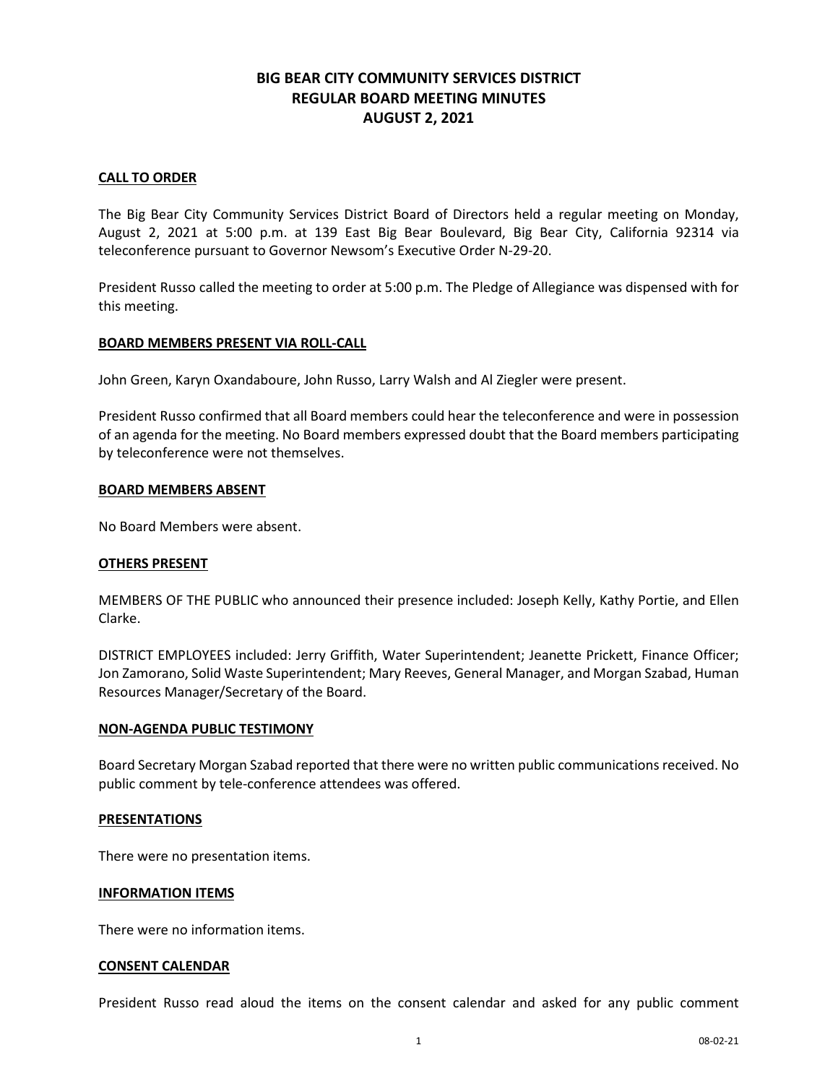# **BIG BEAR CITY COMMUNITY SERVICES DISTRICT REGULAR BOARD MEETING MINUTES AUGUST 2, 2021**

### **CALL TO ORDER**

The Big Bear City Community Services District Board of Directors held a regular meeting on Monday, August 2, 2021 at 5:00 p.m. at 139 East Big Bear Boulevard, Big Bear City, California 92314 via teleconference pursuant to Governor Newsom's Executive Order N-29-20.

President Russo called the meeting to order at 5:00 p.m. The Pledge of Allegiance was dispensed with for this meeting.

#### **BOARD MEMBERS PRESENT VIA ROLL-CALL**

John Green, Karyn Oxandaboure, John Russo, Larry Walsh and Al Ziegler were present.

President Russo confirmed that all Board members could hear the teleconference and were in possession of an agenda for the meeting. No Board members expressed doubt that the Board members participating by teleconference were not themselves.

#### **BOARD MEMBERS ABSENT**

No Board Members were absent.

#### **OTHERS PRESENT**

MEMBERS OF THE PUBLIC who announced their presence included: Joseph Kelly, Kathy Portie, and Ellen Clarke.

DISTRICT EMPLOYEES included: Jerry Griffith, Water Superintendent; Jeanette Prickett, Finance Officer; Jon Zamorano, Solid Waste Superintendent; Mary Reeves, General Manager, and Morgan Szabad, Human Resources Manager/Secretary of the Board.

#### **NON-AGENDA PUBLIC TESTIMONY**

Board Secretary Morgan Szabad reported that there were no written public communications received. No public comment by tele-conference attendees was offered.

#### **PRESENTATIONS**

There were no presentation items.

#### **INFORMATION ITEMS**

There were no information items.

#### **CONSENT CALENDAR**

President Russo read aloud the items on the consent calendar and asked for any public comment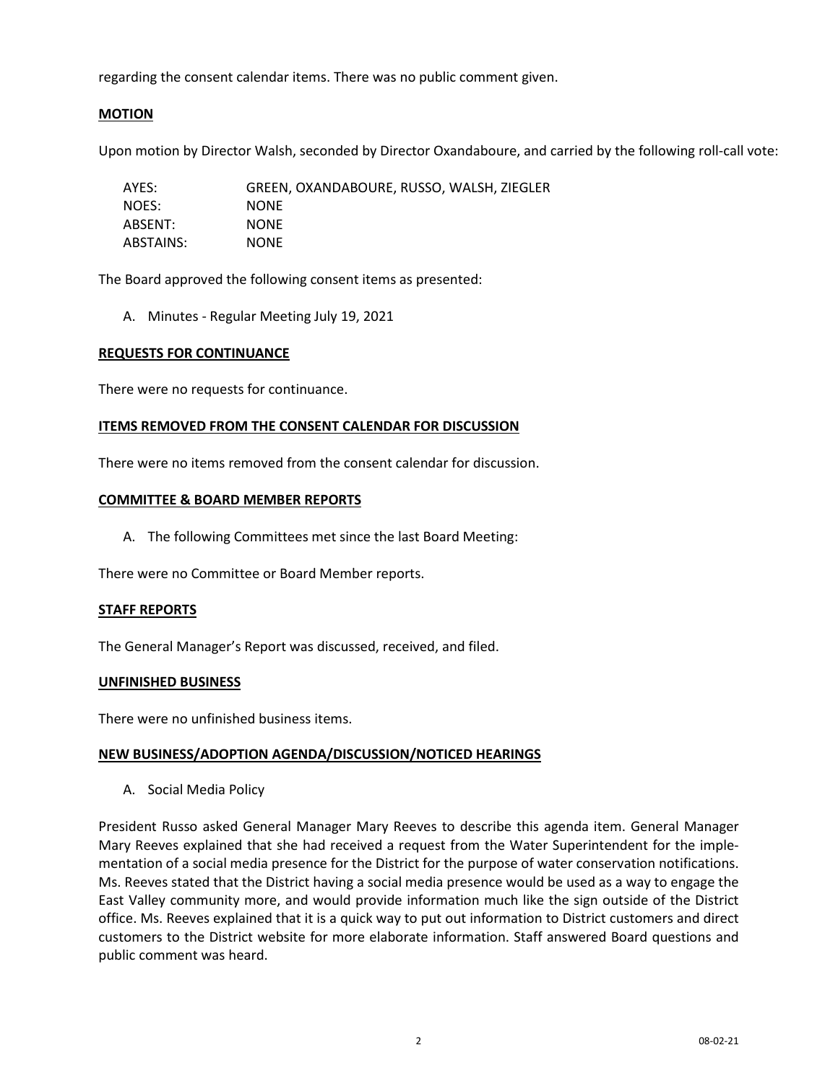regarding the consent calendar items. There was no public comment given.

# **MOTION**

Upon motion by Director Walsh, seconded by Director Oxandaboure, and carried by the following roll-call vote:

| AYES:     | GREEN, OXANDABOURE, RUSSO, WALSH, ZIEGLER |
|-----------|-------------------------------------------|
| NOES:     | <b>NONE</b>                               |
| ABSENT:   | <b>NONE</b>                               |
| ABSTAINS: | <b>NONE</b>                               |

The Board approved the following consent items as presented:

A. Minutes - Regular Meeting July 19, 2021

### **REQUESTS FOR CONTINUANCE**

There were no requests for continuance.

### **ITEMS REMOVED FROM THE CONSENT CALENDAR FOR DISCUSSION**

There were no items removed from the consent calendar for discussion.

### **COMMITTEE & BOARD MEMBER REPORTS**

A. The following Committees met since the last Board Meeting:

There were no Committee or Board Member reports.

#### **STAFF REPORTS**

The General Manager's Report was discussed, received, and filed.

#### **UNFINISHED BUSINESS**

There were no unfinished business items.

#### **NEW BUSINESS/ADOPTION AGENDA/DISCUSSION/NOTICED HEARINGS**

A. Social Media Policy

President Russo asked General Manager Mary Reeves to describe this agenda item. General Manager Mary Reeves explained that she had received a request from the Water Superintendent for the implementation of a social media presence for the District for the purpose of water conservation notifications. Ms. Reeves stated that the District having a social media presence would be used as a way to engage the East Valley community more, and would provide information much like the sign outside of the District office. Ms. Reeves explained that it is a quick way to put out information to District customers and direct customers to the District website for more elaborate information. Staff answered Board questions and public comment was heard.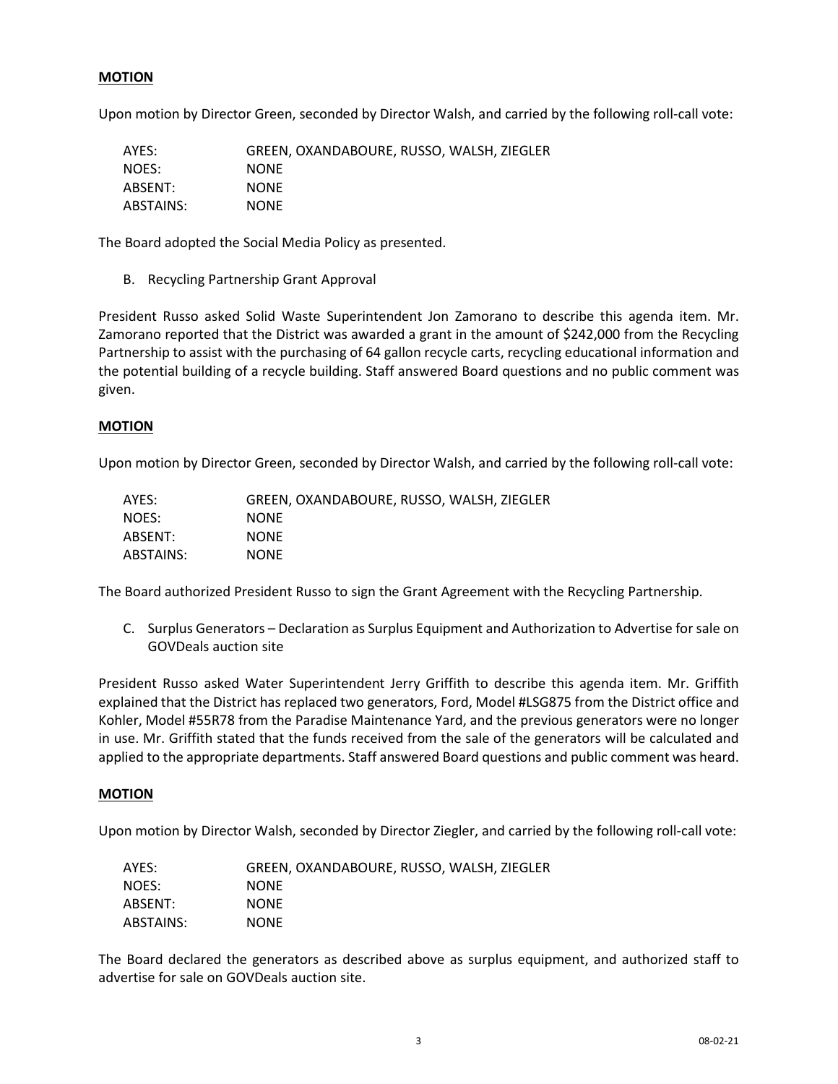# **MOTION**

Upon motion by Director Green, seconded by Director Walsh, and carried by the following roll-call vote:

| AYES:     | GREEN, OXANDABOURE, RUSSO, WALSH, ZIEGLER |
|-----------|-------------------------------------------|
| NOES:     | <b>NONE</b>                               |
| ABSENT:   | <b>NONE</b>                               |
| ABSTAINS: | <b>NONE</b>                               |

The Board adopted the Social Media Policy as presented.

B. Recycling Partnership Grant Approval

President Russo asked Solid Waste Superintendent Jon Zamorano to describe this agenda item. Mr. Zamorano reported that the District was awarded a grant in the amount of \$242,000 from the Recycling Partnership to assist with the purchasing of 64 gallon recycle carts, recycling educational information and the potential building of a recycle building. Staff answered Board questions and no public comment was given.

#### **MOTION**

Upon motion by Director Green, seconded by Director Walsh, and carried by the following roll-call vote:

| AYES:     | GREEN, OXANDABOURE, RUSSO, WALSH, ZIEGLER |
|-----------|-------------------------------------------|
| NOES:     | <b>NONE</b>                               |
| ABSENT:   | <b>NONE</b>                               |
| ABSTAINS: | <b>NONE</b>                               |

The Board authorized President Russo to sign the Grant Agreement with the Recycling Partnership.

C. Surplus Generators – Declaration as Surplus Equipment and Authorization to Advertise for sale on GOVDeals auction site

President Russo asked Water Superintendent Jerry Griffith to describe this agenda item. Mr. Griffith explained that the District has replaced two generators, Ford, Model #LSG875 from the District office and Kohler, Model #55R78 from the Paradise Maintenance Yard, and the previous generators were no longer in use. Mr. Griffith stated that the funds received from the sale of the generators will be calculated and applied to the appropriate departments. Staff answered Board questions and public comment was heard.

#### **MOTION**

Upon motion by Director Walsh, seconded by Director Ziegler, and carried by the following roll-call vote:

| AYES:     | GREEN, OXANDABOURE, RUSSO, WALSH, ZIEGLER |
|-----------|-------------------------------------------|
| NOES:     | <b>NONE</b>                               |
| ABSENT:   | <b>NONE</b>                               |
| ABSTAINS: | <b>NONE</b>                               |

The Board declared the generators as described above as surplus equipment, and authorized staff to advertise for sale on GOVDeals auction site.